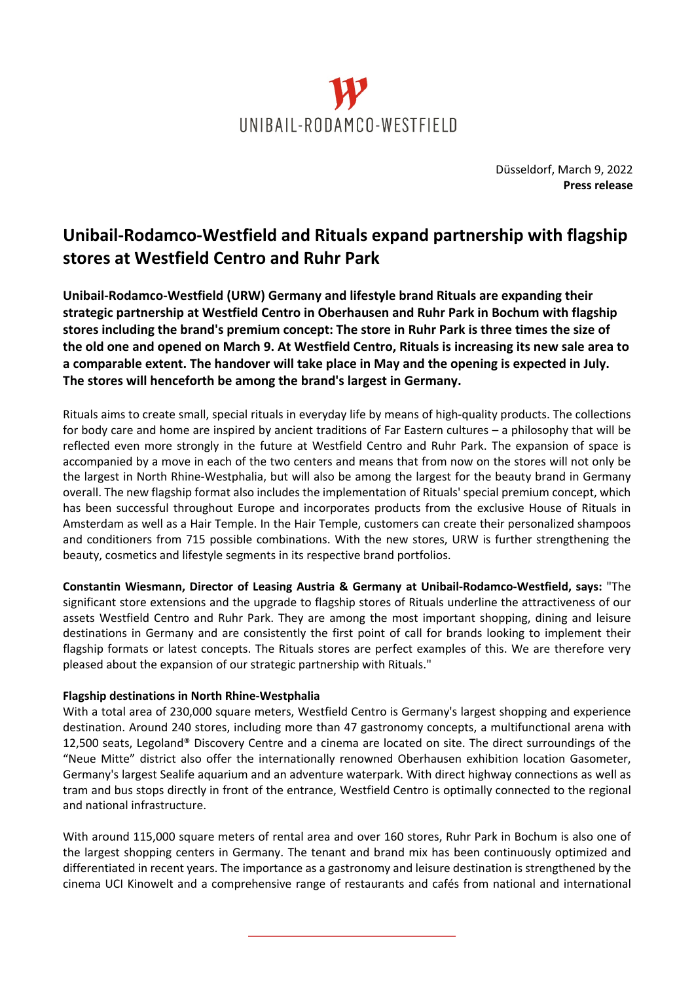

Düsseldorf, March 9, 2022 **Press release**

## **Unibail-Rodamco-Westfield and Rituals expand partnership with flagship stores at Westfield Centro and Ruhr Park**

**Unibail-Rodamco-Westfield (URW) Germany and lifestyle brand Rituals are expanding their strategic partnership at Westfield Centro in Oberhausen and Ruhr Park in Bochum with flagship stores including the brand's premium concept: The store in Ruhr Park is three times the size of the old one and opened on March 9. At Westfield Centro, Rituals is increasing its new sale area to a comparable extent. The handover will take place in May and the opening is expected in July. The stores will henceforth be among the brand's largest in Germany.**

Rituals aims to create small, special rituals in everyday life by means of high-quality products. The collections for body care and home are inspired by ancient traditions of Far Eastern cultures – a philosophy that will be reflected even more strongly in the future at Westfield Centro and Ruhr Park. The expansion of space is accompanied by a move in each of the two centers and means that from now on the stores will not only be the largest in North Rhine-Westphalia, but will also be among the largest for the beauty brand in Germany overall. The new flagship format also includes the implementation of Rituals' special premium concept, which has been successful throughout Europe and incorporates products from the exclusive House of Rituals in Amsterdam as well as a Hair Temple. In the Hair Temple, customers can create their personalized shampoos and conditioners from 715 possible combinations. With the new stores, URW is further strengthening the beauty, cosmetics and lifestyle segments in its respective brand portfolios.

**Constantin Wiesmann, Director of Leasing Austria & Germany at Unibail-Rodamco-Westfield, says:** "The significant store extensions and the upgrade to flagship stores of Rituals underline the attractiveness of our assets Westfield Centro and Ruhr Park. They are among the most important shopping, dining and leisure destinations in Germany and are consistently the first point of call for brands looking to implement their flagship formats or latest concepts. The Rituals stores are perfect examples of this. We are therefore very pleased about the expansion of our strategic partnership with Rituals."

## **Flagship destinations in North Rhine-Westphalia**

With a total area of 230,000 square meters, Westfield Centro is Germany's largest shopping and experience destination. Around 240 stores, including more than 47 gastronomy concepts, a multifunctional arena with 12,500 seats, Legoland® Discovery Centre and a cinema are located on site. The direct surroundings of the "Neue Mitte" district also offer the internationally renowned Oberhausen exhibition location Gasometer, Germany's largest Sealife aquarium and an adventure waterpark. With direct highway connections as well as tram and bus stops directly in front of the entrance, Westfield Centro is optimally connected to the regional and national infrastructure.

With around 115,000 square meters of rental area and over 160 stores, Ruhr Park in Bochum is also one of the largest shopping centers in Germany. The tenant and brand mix has been continuously optimized and differentiated in recent years. The importance as a gastronomy and leisure destination is strengthened by the cinema UCI Kinowelt and a comprehensive range of restaurants and cafés from national and international